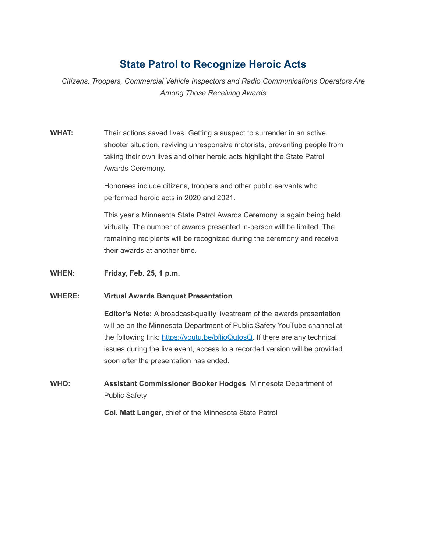# **State Patrol to Recognize Heroic Acts**

*Citizens, Troopers, Commercial Vehicle Inspectors and Radio Communications Operators Are Among Those Receiving Awards*

**WHAT:** Their actions saved lives. Getting a suspect to surrender in an active shooter situation, reviving unresponsive motorists, preventing people from taking their own lives and other heroic acts highlight the State Patrol Awards Ceremony.

> Honorees include citizens, troopers and other public servants who performed heroic acts in 2020 and 2021.

This year's Minnesota State Patrol Awards Ceremony is again being held virtually. The number of awards presented in-person will be limited. The remaining recipients will be recognized during the ceremony and receive their awards at another time.

**WHEN: Friday, Feb. 25, 1 p.m.**

#### **WHERE: Virtual Awards Banquet Presentation**

**Editor's Note:** A broadcast-quality livestream of the awards presentation will be on the Minnesota Department of Public Safety YouTube channel at the following link: [https://youtu.be/bflioQuIosQ](https://gcc02.safelinks.protection.outlook.com/?url=https%3A%2F%2Fyoutu.be%2FbflioQuIosQ&data=04%7C01%7Cdave.boxum%40state.mn.us%7C7b18952591ea4f127b1508d9f7bd846a%7Ceb14b04624c445198f26b89c2159828c%7C0%7C0%7C637813215606827735%7CUnknown%7CTWFpbGZsb3d8eyJWIjoiMC4wLjAwMDAiLCJQIjoiV2luMzIiLCJBTiI6Ik1haWwiLCJXVCI6Mn0%3D%7C3000&sdata=Qt3tVSmBiI9uyHEFpjTVzvsYfysjBPsDw%2BWRNktAi9Q%3D&reserved=0). If there are any technical issues during the live event, access to a recorded version will be provided soon after the presentation has ended.

**WHO: Assistant Commissioner Booker Hodges**, Minnesota Department of Public Safety

**Col. Matt Langer**, chief of the Minnesota State Patrol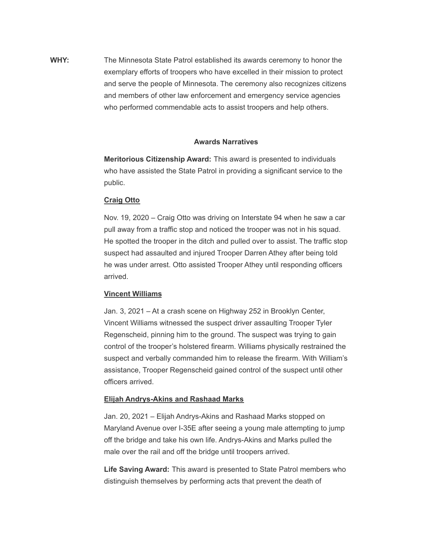**WHY:** The Minnesota State Patrol established its awards ceremony to honor the exemplary efforts of troopers who have excelled in their mission to protect and serve the people of Minnesota. The ceremony also recognizes citizens and members of other law enforcement and emergency service agencies who performed commendable acts to assist troopers and help others.

#### **Awards Narratives**

**Meritorious Citizenship Award:** This award is presented to individuals who have assisted the State Patrol in providing a significant service to the public.

### **Craig Otto**

Nov. 19, 2020 – Craig Otto was driving on Interstate 94 when he saw a car pull away from a traffic stop and noticed the trooper was not in his squad. He spotted the trooper in the ditch and pulled over to assist. The traffic stop suspect had assaulted and injured Trooper Darren Athey after being told he was under arrest. Otto assisted Trooper Athey until responding officers arrived.

#### **Vincent Williams**

Jan. 3, 2021 – At a crash scene on Highway 252 in Brooklyn Center, Vincent Williams witnessed the suspect driver assaulting Trooper Tyler Regenscheid, pinning him to the ground. The suspect was trying to gain control of the trooper's holstered firearm. Williams physically restrained the suspect and verbally commanded him to release the firearm. With William's assistance, Trooper Regenscheid gained control of the suspect until other officers arrived.

#### **Elijah Andrys-Akins and Rashaad Marks**

Jan. 20, 2021 – Elijah Andrys-Akins and Rashaad Marks stopped on Maryland Avenue over I-35E after seeing a young male attempting to jump off the bridge and take his own life. Andrys-Akins and Marks pulled the male over the rail and off the bridge until troopers arrived.

**Life Saving Award:** This award is presented to State Patrol members who distinguish themselves by performing acts that prevent the death of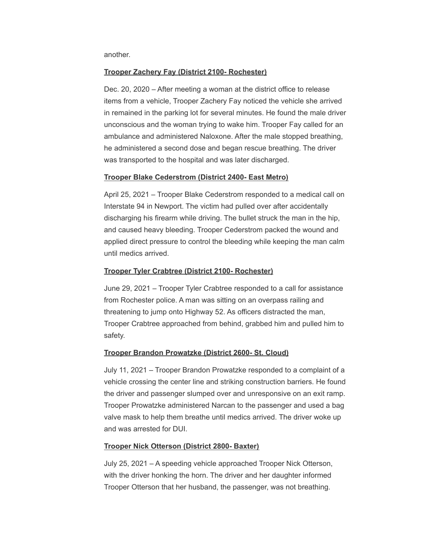another.

### **Trooper Zachery Fay (District 2100- Rochester)**

Dec. 20, 2020 – After meeting a woman at the district office to release items from a vehicle, Trooper Zachery Fay noticed the vehicle she arrived in remained in the parking lot for several minutes. He found the male driver unconscious and the woman trying to wake him. Trooper Fay called for an ambulance and administered Naloxone. After the male stopped breathing, he administered a second dose and began rescue breathing. The driver was transported to the hospital and was later discharged.

### **Trooper Blake Cederstrom (District 2400- East Metro)**

April 25, 2021 – Trooper Blake Cederstrom responded to a medical call on Interstate 94 in Newport. The victim had pulled over after accidentally discharging his firearm while driving. The bullet struck the man in the hip, and caused heavy bleeding. Trooper Cederstrom packed the wound and applied direct pressure to control the bleeding while keeping the man calm until medics arrived.

### **Trooper Tyler Crabtree (District 2100- Rochester)**

June 29, 2021 – Trooper Tyler Crabtree responded to a call for assistance from Rochester police. A man was sitting on an overpass railing and threatening to jump onto Highway 52. As officers distracted the man, Trooper Crabtree approached from behind, grabbed him and pulled him to safety.

## **Trooper Brandon Prowatzke (District 2600- St. Cloud)**

July 11, 2021 – Trooper Brandon Prowatzke responded to a complaint of a vehicle crossing the center line and striking construction barriers. He found the driver and passenger slumped over and unresponsive on an exit ramp. Trooper Prowatzke administered Narcan to the passenger and used a bag valve mask to help them breathe until medics arrived. The driver woke up and was arrested for DUI.

## **Trooper Nick Otterson (District 2800- Baxter)**

July 25, 2021 – A speeding vehicle approached Trooper Nick Otterson, with the driver honking the horn. The driver and her daughter informed Trooper Otterson that her husband, the passenger, was not breathing.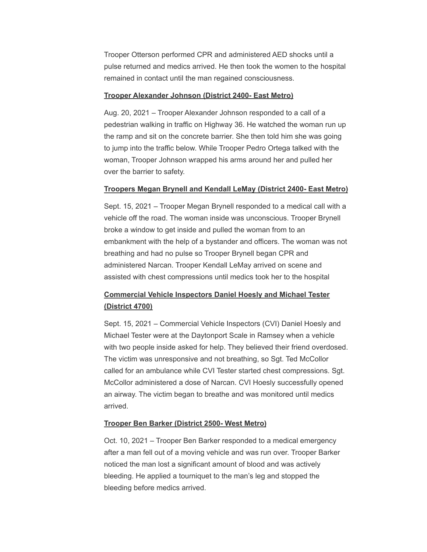Trooper Otterson performed CPR and administered AED shocks until a pulse returned and medics arrived. He then took the women to the hospital remained in contact until the man regained consciousness.

#### **Trooper Alexander Johnson (District 2400- East Metro)**

Aug. 20, 2021 – Trooper Alexander Johnson responded to a call of a pedestrian walking in traffic on Highway 36. He watched the woman run up the ramp and sit on the concrete barrier. She then told him she was going to jump into the traffic below. While Trooper Pedro Ortega talked with the woman, Trooper Johnson wrapped his arms around her and pulled her over the barrier to safety.

#### **Troopers Megan Brynell and Kendall LeMay (District 2400- East Metro)**

Sept. 15, 2021 – Trooper Megan Brynell responded to a medical call with a vehicle off the road. The woman inside was unconscious. Trooper Brynell broke a window to get inside and pulled the woman from to an embankment with the help of a bystander and officers. The woman was not breathing and had no pulse so Trooper Brynell began CPR and administered Narcan. Trooper Kendall LeMay arrived on scene and assisted with chest compressions until medics took her to the hospital

## **Commercial Vehicle Inspectors Daniel Hoesly and Michael Tester (District 4700)**

Sept. 15, 2021 – Commercial Vehicle Inspectors (CVI) Daniel Hoesly and Michael Tester were at the Daytonport Scale in Ramsey when a vehicle with two people inside asked for help. They believed their friend overdosed. The victim was unresponsive and not breathing, so Sgt. Ted McCollor called for an ambulance while CVI Tester started chest compressions. Sgt. McCollor administered a dose of Narcan. CVI Hoesly successfully opened an airway. The victim began to breathe and was monitored until medics arrived.

#### **Trooper Ben Barker (District 2500- West Metro)**

Oct. 10, 2021 – Trooper Ben Barker responded to a medical emergency after a man fell out of a moving vehicle and was run over. Trooper Barker noticed the man lost a significant amount of blood and was actively bleeding. He applied a tourniquet to the man's leg and stopped the bleeding before medics arrived.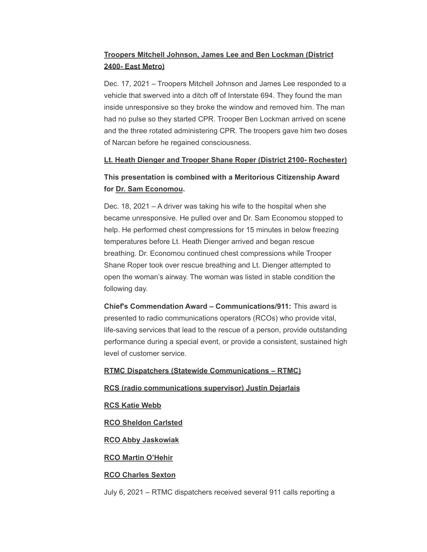## **Troopers Mitchell Johnson, James Lee and Ben Lockman (District 2400- East Metro)**

Dec. 17, 2021 – Troopers Mitchell Johnson and James Lee responded to a vehicle that swerved into a ditch off of Interstate 694. They found the man inside unresponsive so they broke the window and removed him. The man had no pulse so they started CPR. Trooper Ben Lockman arrived on scene and the three rotated administering CPR. The troopers gave him two doses of Narcan before he regained consciousness.

#### **Lt. Heath Dienger and Trooper Shane Roper (District 2100- Rochester)**

## **This presentation is combined with a Meritorious Citizenship Award for Dr. Sam Economou.**

Dec. 18, 2021 – A driver was taking his wife to the hospital when she became unresponsive. He pulled over and Dr. Sam Economou stopped to help. He performed chest compressions for 15 minutes in below freezing temperatures before Lt. Heath Dienger arrived and began rescue breathing. Dr. Economou continued chest compressions while Trooper Shane Roper took over rescue breathing and Lt. Dienger attempted to open the woman's airway. The woman was listed in stable condition the following day.

**Chief's Commendation Award – Communications/911:** This award is presented to radio communications operators (RCOs) who provide vital, life-saving services that lead to the rescue of a person, provide outstanding performance during a special event, or provide a consistent, sustained high level of customer service.

#### **RTMC Dispatchers (Statewide Communications – RTMC)**

#### **RCS (radio communications supervisor) Justin Dejarlais**

#### **RCS Katie Webb**

#### **RCO Sheldon Carlsted**

#### **RCO Abby Jaskowiak**

#### **RCO Martin O'Hehir**

#### **RCO Charles Sexton**

July 6, 2021 – RTMC dispatchers received several 911 calls reporting a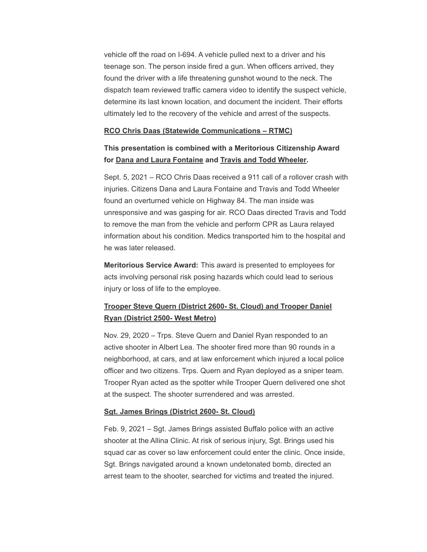vehicle off the road on I-694. A vehicle pulled next to a driver and his teenage son. The person inside fired a gun. When officers arrived, they found the driver with a life threatening gunshot wound to the neck. The dispatch team reviewed traffic camera video to identify the suspect vehicle, determine its last known location, and document the incident. Their efforts ultimately led to the recovery of the vehicle and arrest of the suspects.

#### **RCO Chris Daas (Statewide Communications – RTMC)**

**This presentation is combined with a Meritorious Citizenship Award for Dana and Laura Fontaine and Travis and Todd Wheeler.**

Sept. 5, 2021 – RCO Chris Daas received a 911 call of a rollover crash with injuries. Citizens Dana and Laura Fontaine and Travis and Todd Wheeler found an overturned vehicle on Highway 84. The man inside was unresponsive and was gasping for air. RCO Daas directed Travis and Todd to remove the man from the vehicle and perform CPR as Laura relayed information about his condition. Medics transported him to the hospital and he was later released.

**Meritorious Service Award:** This award is presented to employees for acts involving personal risk posing hazards which could lead to serious injury or loss of life to the employee.

## **Trooper Steve Quern (District 2600- St. Cloud) and Trooper Daniel Ryan (District 2500- West Metro)**

Nov. 29, 2020 – Trps. Steve Quern and Daniel Ryan responded to an active shooter in Albert Lea. The shooter fired more than 90 rounds in a neighborhood, at cars, and at law enforcement which injured a local police officer and two citizens. Trps. Quern and Ryan deployed as a sniper team. Trooper Ryan acted as the spotter while Trooper Quern delivered one shot at the suspect. The shooter surrendered and was arrested.

#### **Sgt. James Brings (District 2600- St. Cloud)**

Feb. 9, 2021 – Sgt. James Brings assisted Buffalo police with an active shooter at the Allina Clinic. At risk of serious injury, Sgt. Brings used his squad car as cover so law enforcement could enter the clinic. Once inside, Sgt. Brings navigated around a known undetonated bomb, directed an arrest team to the shooter, searched for victims and treated the injured.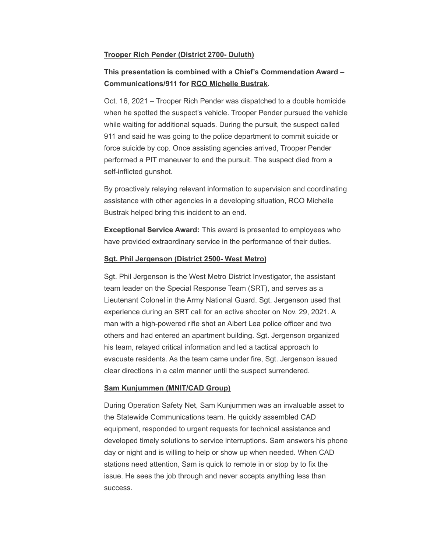#### **Trooper Rich Pender (District 2700- Duluth)**

## **This presentation is combined with a Chief's Commendation Award – Communications/911 for RCO Michelle Bustrak.**

Oct. 16, 2021 – Trooper Rich Pender was dispatched to a double homicide when he spotted the suspect's vehicle. Trooper Pender pursued the vehicle while waiting for additional squads. During the pursuit, the suspect called 911 and said he was going to the police department to commit suicide or force suicide by cop. Once assisting agencies arrived, Trooper Pender performed a PIT maneuver to end the pursuit. The suspect died from a self-inflicted gunshot.

By proactively relaying relevant information to supervision and coordinating assistance with other agencies in a developing situation, RCO Michelle Bustrak helped bring this incident to an end.

**Exceptional Service Award:** This award is presented to employees who have provided extraordinary service in the performance of their duties.

#### **Sgt. Phil Jergenson (District 2500- West Metro)**

Sgt. Phil Jergenson is the West Metro District Investigator, the assistant team leader on the Special Response Team (SRT), and serves as a Lieutenant Colonel in the Army National Guard. Sgt. Jergenson used that experience during an SRT call for an active shooter on Nov. 29, 2021. A man with a high-powered rifle shot an Albert Lea police officer and two others and had entered an apartment building. Sgt. Jergenson organized his team, relayed critical information and led a tactical approach to evacuate residents. As the team came under fire, Sgt. Jergenson issued clear directions in a calm manner until the suspect surrendered.

#### **Sam Kunjummen (MNIT/CAD Group)**

During Operation Safety Net, Sam Kunjummen was an invaluable asset to the Statewide Communications team. He quickly assembled CAD equipment, responded to urgent requests for technical assistance and developed timely solutions to service interruptions. Sam answers his phone day or night and is willing to help or show up when needed. When CAD stations need attention, Sam is quick to remote in or stop by to fix the issue. He sees the job through and never accepts anything less than success.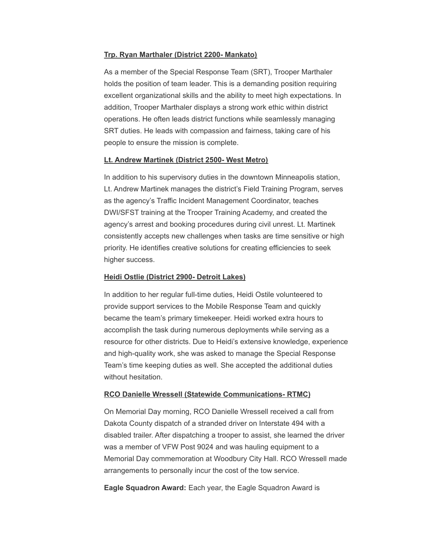#### **Trp. Ryan Marthaler (District 2200- Mankato)**

As a member of the Special Response Team (SRT), Trooper Marthaler holds the position of team leader. This is a demanding position requiring excellent organizational skills and the ability to meet high expectations. In addition, Trooper Marthaler displays a strong work ethic within district operations. He often leads district functions while seamlessly managing SRT duties. He leads with compassion and fairness, taking care of his people to ensure the mission is complete.

#### **Lt. Andrew Martinek (District 2500- West Metro)**

In addition to his supervisory duties in the downtown Minneapolis station, Lt. Andrew Martinek manages the district's Field Training Program, serves as the agency's Traffic Incident Management Coordinator, teaches DWI/SFST training at the Trooper Training Academy, and created the agency's arrest and booking procedures during civil unrest. Lt. Martinek consistently accepts new challenges when tasks are time sensitive or high priority. He identifies creative solutions for creating efficiencies to seek higher success.

#### **Heidi Ostlie (District 2900- Detroit Lakes)**

In addition to her regular full-time duties, Heidi Ostile volunteered to provide support services to the Mobile Response Team and quickly became the team's primary timekeeper. Heidi worked extra hours to accomplish the task during numerous deployments while serving as a resource for other districts. Due to Heidi's extensive knowledge, experience and high-quality work, she was asked to manage the Special Response Team's time keeping duties as well. She accepted the additional duties without hesitation.

#### **RCO Danielle Wressell (Statewide Communications- RTMC)**

On Memorial Day morning, RCO Danielle Wressell received a call from Dakota County dispatch of a stranded driver on Interstate 494 with a disabled trailer. After dispatching a trooper to assist, she learned the driver was a member of VFW Post 9024 and was hauling equipment to a Memorial Day commemoration at Woodbury City Hall. RCO Wressell made arrangements to personally incur the cost of the tow service.

**Eagle Squadron Award:** Each year, the Eagle Squadron Award is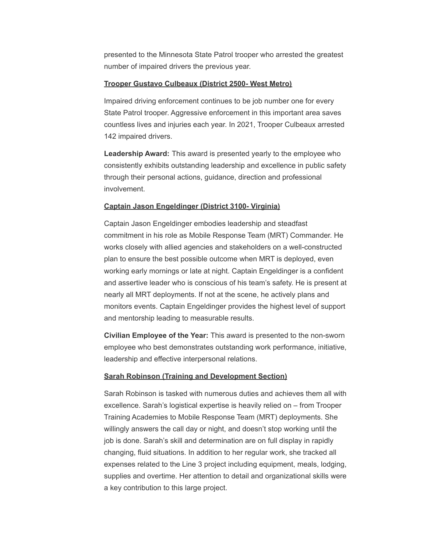presented to the Minnesota State Patrol trooper who arrested the greatest number of impaired drivers the previous year.

### **Trooper Gustavo Culbeaux (District 2500- West Metro)**

Impaired driving enforcement continues to be job number one for every State Patrol trooper. Aggressive enforcement in this important area saves countless lives and injuries each year. In 2021, Trooper Culbeaux arrested 142 impaired drivers.

**Leadership Award:** This award is presented yearly to the employee who consistently exhibits outstanding leadership and excellence in public safety through their personal actions, guidance, direction and professional involvement.

## **Captain Jason Engeldinger (District 3100- Virginia)**

Captain Jason Engeldinger embodies leadership and steadfast commitment in his role as Mobile Response Team (MRT) Commander. He works closely with allied agencies and stakeholders on a well-constructed plan to ensure the best possible outcome when MRT is deployed, even working early mornings or late at night. Captain Engeldinger is a confident and assertive leader who is conscious of his team's safety. He is present at nearly all MRT deployments. If not at the scene, he actively plans and monitors events. Captain Engeldinger provides the highest level of support and mentorship leading to measurable results.

**Civilian Employee of the Year:** This award is presented to the non-sworn employee who best demonstrates outstanding work performance, initiative, leadership and effective interpersonal relations.

## **Sarah Robinson (Training and Development Section)**

Sarah Robinson is tasked with numerous duties and achieves them all with excellence. Sarah's logistical expertise is heavily relied on – from Trooper Training Academies to Mobile Response Team (MRT) deployments. She willingly answers the call day or night, and doesn't stop working until the job is done. Sarah's skill and determination are on full display in rapidly changing, fluid situations. In addition to her regular work, she tracked all expenses related to the Line 3 project including equipment, meals, lodging, supplies and overtime. Her attention to detail and organizational skills were a key contribution to this large project.